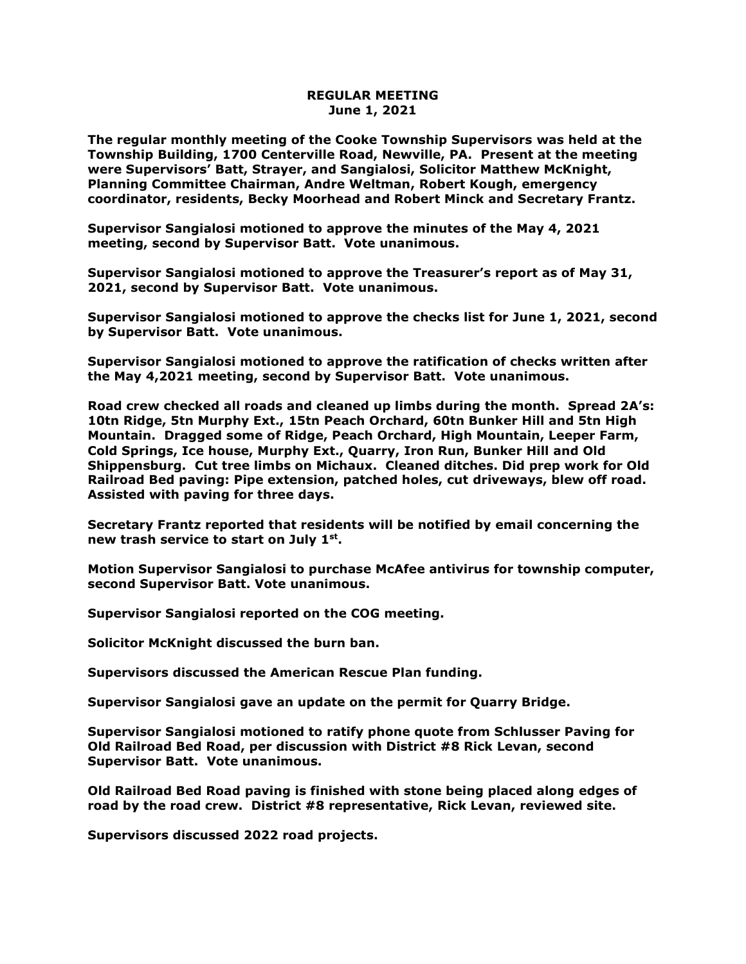## **REGULAR MEETING June 1, 2021**

**The regular monthly meeting of the Cooke Township Supervisors was held at the Township Building, 1700 Centerville Road, Newville, PA. Present at the meeting were Supervisors' Batt, Strayer, and Sangialosi, Solicitor Matthew McKnight, Planning Committee Chairman, Andre Weltman, Robert Kough, emergency coordinator, residents, Becky Moorhead and Robert Minck and Secretary Frantz.** 

**Supervisor Sangialosi motioned to approve the minutes of the May 4, 2021 meeting, second by Supervisor Batt. Vote unanimous.** 

**Supervisor Sangialosi motioned to approve the Treasurer's report as of May 31, 2021, second by Supervisor Batt. Vote unanimous.**

**Supervisor Sangialosi motioned to approve the checks list for June 1, 2021, second by Supervisor Batt. Vote unanimous.**

**Supervisor Sangialosi motioned to approve the ratification of checks written after the May 4,2021 meeting, second by Supervisor Batt. Vote unanimous.**

**Road crew checked all roads and cleaned up limbs during the month. Spread 2A's: 10tn Ridge, 5tn Murphy Ext., 15tn Peach Orchard, 60tn Bunker Hill and 5tn High Mountain. Dragged some of Ridge, Peach Orchard, High Mountain, Leeper Farm, Cold Springs, Ice house, Murphy Ext., Quarry, Iron Run, Bunker Hill and Old Shippensburg. Cut tree limbs on Michaux. Cleaned ditches. Did prep work for Old Railroad Bed paving: Pipe extension, patched holes, cut driveways, blew off road. Assisted with paving for three days.**

**Secretary Frantz reported that residents will be notified by email concerning the new trash service to start on July 1st .** 

**Motion Supervisor Sangialosi to purchase McAfee antivirus for township computer, second Supervisor Batt. Vote unanimous.**

**Supervisor Sangialosi reported on the COG meeting.** 

**Solicitor McKnight discussed the burn ban.**

**Supervisors discussed the American Rescue Plan funding.**

**Supervisor Sangialosi gave an update on the permit for Quarry Bridge.**

**Supervisor Sangialosi motioned to ratify phone quote from Schlusser Paving for Old Railroad Bed Road, per discussion with District #8 Rick Levan, second Supervisor Batt. Vote unanimous.**

**Old Railroad Bed Road paving is finished with stone being placed along edges of road by the road crew. District #8 representative, Rick Levan, reviewed site.**

**Supervisors discussed 2022 road projects.**